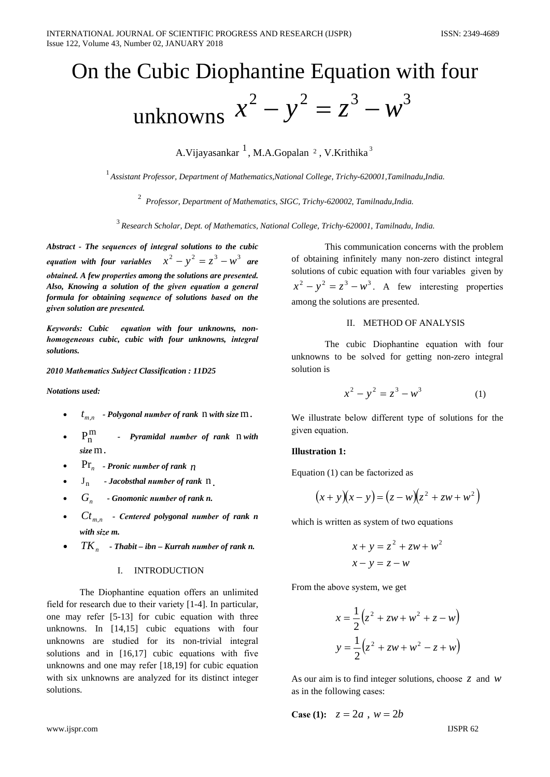# On the Cubic Diophantine Equation with four

unknowns 
$$
x^2 - y^2 = z^3 - w^3
$$

A. Vijavasankar <sup>1</sup>, M.A. Gopalan <sup>2</sup>, V. Krithika<sup>3</sup>

 $^{-1}$ Assistant Professor, Department of Mathematics, National College, Trichy-620001, Tamilnadu, India.

<sup>2</sup> Professor, Department of Mathematics, SIGC, Trichy-620002, Tamilnadu, India.

 $3$  Research Scholar, Dept. of Mathematics, National College, Trichy-620001, Tamilnadu, India.

Abstract - The sequences of integral solutions to the cubic equation with four variables  $x^2 - y^2 = z^3 - w^3$  are obtained. A few properties among the solutions are presented. Also, Knowing a solution of the given equation a general formula for obtaining sequence of solutions based on the given solution are presented.

Keywords: Cubic equation with four unknowns, nonhomogeneous cubic, cubic with four unknowns, integral solutions.

### 2010 Mathematics Subject Classification: 11D25

**Notations** used:

- $t_{m,n}$  Polygonal number of rank  $n$  with size  $m$ .
- $P_n^m$ - Pyramidal number of rank n with size m.
- $\Pr_n$  Pronic number of rank  $n$
- $J_n$  Jacobsthal number of rank  $n_1$
- $G_{n}$ - Gnomonic number of rank n.
- $Ct_{m,n}$  Centered polygonal number of rank n with size m.
- $TK_{n}$  Thabit ibn Kurrah number of rank n.

# I. INTRODUCTION

The Diophantine equation offers an unlimited field for research due to their variety [1-4]. In particular, one may refer [5-13] for cubic equation with three unknowns. In [14,15] cubic equations with four unknowns are studied for its non-trivial integral solutions and in [16,17] cubic equations with five unknowns and one may refer [18,19] for cubic equation with six unknowns are analyzed for its distinct integer solutions.

This communication concerns with the problem of obtaining infinitely many non-zero distinct integral solutions of cubic equation with four variables given by  $x^{2} - y^{2} = z^{3} - w^{3}$ . A few interesting properties among the solutions are presented.

### II. METHOD OF ANALYSIS

The cubic Diophantine equation with four unknowns to be solved for getting non-zero integral solution is

$$
x^2 - y^2 = z^3 - w^3 \tag{1}
$$

We illustrate below different type of solutions for the given equation.

#### **Illustration 1:**

Equation (1) can be factorized as

$$
(x+y)(x-y) = (z-w)(z^2 + zw + w^2)
$$

which is written as system of two equations

$$
x + y = z2 + zw + w2
$$

$$
x - y = z - w
$$

From the above system, we get

$$
x = \frac{1}{2} (z^{2} + zw + w^{2} + z - w)
$$

$$
y = \frac{1}{2} (z^{2} + zw + w^{2} - z + w)
$$

As our aim is to find integer solutions, choose  $\overline{z}$  and  $\overline{w}$ as in the following cases:

**Case (1):**  $z = 2a$ ,  $w = 2b$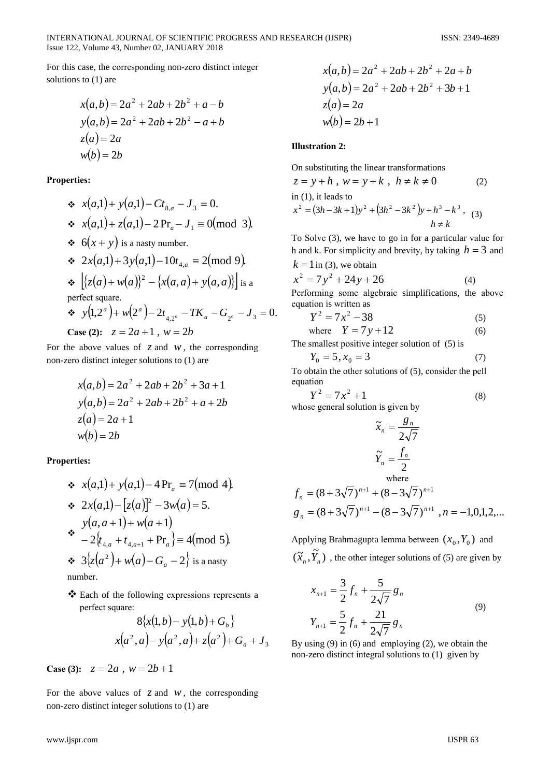For this case, the corresponding non-zero distinct integer solutions to  $(1)$  are

$$
x(a,b) = 2a2 + 2ab + 2b2 + a - b
$$
  
\n
$$
y(a,b) = 2a2 + 2ab + 2b2 - a + b
$$
  
\n
$$
z(a) = 2a
$$
  
\n
$$
w(b) = 2b
$$

**Properties:** 

\n- ★ 
$$
x(a,1) + y(a,1) - Ct_{8,a} - J_3 = 0.
$$
\n- ★  $x(a,1) + z(a,1) - 2\Pr_a - J_1 \equiv 0 \pmod{3}.$
\n- ★  $6(x + y)$  is a nasty number.
\n- ★  $2x(a,1) + 3y(a,1) - 10t_{4,a} \equiv 2 \pmod{9}.$
\n- ★  $[\{z(a) + w(a)\}^2 - \{x(a,a) + y(a,a)\}]$  is a perfect square.
\n- ★  $y(1,2^a) + w(2^a) - 2t_{4,2^a} - TK_a - G_{2^a} - J_3 = 0.$
\n

**Case (2):**  $z = 2a + 1$ ,  $w = 2b$ 

For the above values of  $z$  and  $w$ , the corresponding non-zero distinct integer solutions to (1) are

$$
x(a,b) = 2a^{2} + 2ab + 2b^{2} + 3a + 1
$$
  
\n
$$
y(a,b) = 2a^{2} + 2ab + 2b^{2} + a + 2b
$$
  
\n
$$
z(a) = 2a + 1
$$
  
\n
$$
w(b) = 2b
$$

**Properties:** 

\n- ★ 
$$
x(a,1) + y(a,1) - 4\Pr_a \equiv 7 \pmod{4}
$$
.
\n- ★  $2x(a,1) - [z(a)]^2 - 3w(a) = 5$ .
\n- ★  $y(a, a + 1) + w(a + 1)$
\n- ★  $-2\{t_{4,a} + t_{4,a+1} + \Pr_a\} \equiv 4 \pmod{5}$ .
\n- ★  $3\{z(a^2) + w(a) - G_a - 2\}$  is a nasty number.
\n

number.

❖ Each of the following expressions represents a perfect square:

$$
8\{x(1,b) - y(1,b) + G_b\}
$$
  

$$
x(a^2, a) - y(a^2, a) + z(a^2) + G_a + J_3
$$

Case (3):  $z = 2a$ ,  $w = 2b + 1$ 

For the above values of  $z$  and  $w$ , the corresponding non-zero distinct integer solutions to (1) are

$$
x(a,b) = 2a^{2} + 2ab + 2b^{2} + 2a + b
$$
  
\n
$$
y(a,b) = 2a^{2} + 2ab + 2b^{2} + 3b + 1
$$
  
\n
$$
z(a) = 2a
$$
  
\n
$$
w(b) = 2b + 1
$$

# **Illustration 2:**

On substituting the linear transformations  $z = y + h$ ,  $w = y + k$ ,  $h \neq k \neq 0$ 

$$
z = y + h, w = y + k, h \neq k \neq 0
$$
 (2)  
in (1), it leads to  

$$
x^{2} = (3h - 3k + 1)y^{2} + (3h^{2} - 3k^{2})y + h^{3} - k^{3},
$$
 (3)  

$$
h \neq k
$$

To Solve (3), we have to go in for a particular value for h and k. For simplicity and brevity, by taking  $h = 3$  and  $k = 1$  in (3), we obtain

$$
x^2 = 7y^2 + 24y + 26\tag{4}
$$

Performing some algebraic simplifications, the above equation is written as

$$
Y^2 = 7x^2 - 38\tag{5}
$$

where 
$$
Y = 7y + 12
$$
 (6)

The smallest positive integer solution of (5) is

$$
Y_0 = 5, x_0 = 3 \tag{7}
$$

To obtain the other solutions of (5), consider the pell equation

$$
Y^2 = 7x^2 + 1\tag{8}
$$

whose general solution is given by

$$
\widetilde{x}_n = \frac{g_n}{2\sqrt{7}}
$$
\n
$$
\widetilde{Y}_n = \frac{f_n}{2}
$$
\nwhere  
\n
$$
f_n = (8 + 3\sqrt{7})^{n+1} + (8 - 3\sqrt{7})^{n+1}
$$
\n
$$
g_n = (8 + 3\sqrt{7})^{n+1} - (8 - 3\sqrt{7})^{n+1}, n = -1, 0, 1, 2, ...
$$

Applying Brahmagupta lemma between  $(x_0, Y_0)$  and  $(\widetilde{X}_n, \widetilde{Y}_n)$ , the other integer solutions of (5) are given by

$$
x_{n+1} = \frac{3}{2} f_n + \frac{5}{2\sqrt{7}} g_n
$$
  

$$
Y_{n+1} = \frac{5}{2} f_n + \frac{21}{2\sqrt{7}} g_n
$$
 (9)

By using  $(9)$  in  $(6)$  and employing  $(2)$ , we obtain the non-zero distinct integral solutions to (1) given by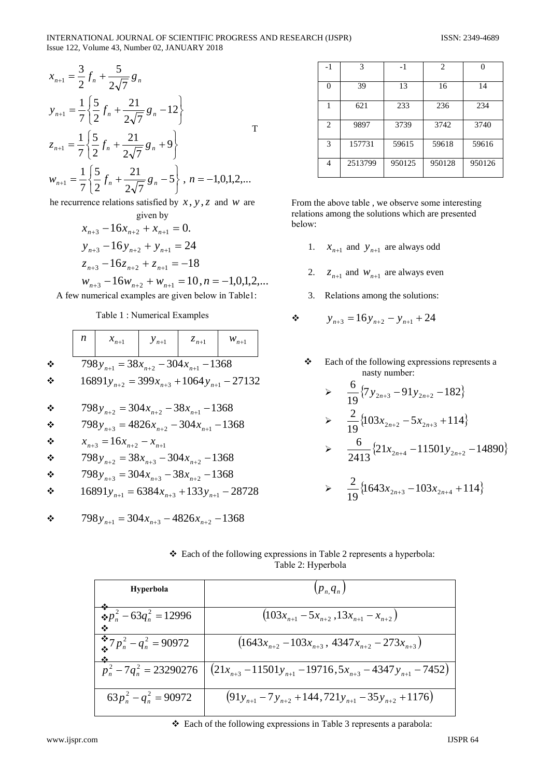#### INTERNATIONAL JOURNAL OF SCIENTIFIC PROGRESS AND RESEARCH (IJSPR) Issue 122, Volume 43, Number 02, JANUARY 2018

$$
x_{n+1} = \frac{3}{2} f_n + \frac{5}{2\sqrt{7}} g_n
$$
  
\n
$$
y_{n+1} = \frac{1}{7} \left\{ \frac{5}{2} f_n + \frac{21}{2\sqrt{7}} g_n - 12 \right\}
$$
  
\n
$$
z_{n+1} = \frac{1}{7} \left\{ \frac{5}{2} f_n + \frac{21}{2\sqrt{7}} g_n + 9 \right\}
$$
  
\n
$$
w_{n+1} = \frac{1}{7} \left\{ \frac{5}{2} f_n + \frac{21}{2\sqrt{7}} g_n - 5 \right\}, n = -1, 0, 1, 2, ...
$$
  
\nthe recurrence relations satisfied by x, y, z, and y are

the recurrence relations satisfied by  $x, y, z$  and w are given by

$$
x_{n+3} - 16x_{n+2} + x_{n+1} = 0.
$$
  
\n
$$
y_{n+3} - 16y_{n+2} + y_{n+1} = 24
$$
  
\n
$$
z_{n+3} - 16z_{n+2} + z_{n+1} = -18
$$

 $w_{n+3}$  – 16 $w_{n+2}$  +  $w_{n+1}$  = 10,  $n = -1,0,1,2,...$ A few numerical examples are given below in Table1:

### Table 1: Numerical Examples

|        | n | $x_{n+1}$                                                                                         | $y_{n+1}$ | $z_{n+1}$ | $W_{n+1}$ |  |
|--------|---|---------------------------------------------------------------------------------------------------|-----------|-----------|-----------|--|
| ❖<br>❖ |   | $798y_{n+1} = 38x_{n+2} - 304x_{n+1} - 1368$<br>$16891y_{n+2} = 399x_{n+3} + 1064y_{n+1} - 27132$ |           |           |           |  |
| ÷<br>❖ |   | $798y_{n+2} = 304x_{n+2} - 38x_{n+1} - 1368$<br>$798y_{n+3} = 4826x_{n+2} - 304x_{n+1} - 1368$    |           |           |           |  |
| ❖<br>❖ |   | $x_{n+3} = 16x_{n+2} - x_{n+1}$<br>$798y_{n+2} = 38x_{n+3} - 304x_{n+2} - 1368$                   |           |           |           |  |
| ❖<br>❖ |   | $798y_{n+3} = 304x_{n+3} - 38x_{n+2} - 1368$<br>$16891y_{n+1} = 6384x_{n+3} + 133y_{n+1} - 28728$ |           |           |           |  |
| ❖      |   | $798y_{n+1} = 304x_{n+3} - 4826x_{n+2} - 1368$                                                    |           |           |           |  |

| $-1$           | 3       | $-1$   | $\overline{c}$ | U      |
|----------------|---------|--------|----------------|--------|
| 0              | 39      | 13     | 16             | 14     |
| 1              | 621     | 233    | 236            | 234    |
| $\overline{c}$ | 9897    | 3739   | 3742           | 3740   |
| 3              | 157731  | 59615  | 59618          | 59616  |
| 4              | 2513799 | 950125 | 950128         | 950126 |

From the above table, we observe some interesting relations among the solutions which are presented below:

- 1.  $x_{n+1}$  and  $y_{n+1}$  are always odd
- 2.  $z_{n+1}$  and  $w_{n+1}$  are always even
- 3. Relations among the solutions:

$$
y_{n+3} = 16y_{n+2} - y_{n+1} + 24
$$

Each of the following expressions represents a ❖ nasty number:

> 
$$
\frac{6}{19}
$$
{7y<sub>2n+3</sub> - 91y<sub>2n+2</sub> -182}

> 
$$
\frac{2}{19} \{ 103x_{2n+2} - 5x_{2n+3} + 114 \}
$$
  
> 
$$
\frac{6}{2413} \{ 21x_{2n+4} - 11501y_{2n+2} - 14890 \}
$$

> 
$$
\frac{2}{19} \{ 1643x_{2n+3} - 103x_{2n+4} + 114 \}
$$

| ❖ Each of the following expressions in Table 2 represents a hyperbola: |  |
|------------------------------------------------------------------------|--|
| Table 2: Hyperbola                                                     |  |

| Hyperbola                             | $(p_n, q_n)$                                                                   |
|---------------------------------------|--------------------------------------------------------------------------------|
| $\oint p_n^2 - 63q_n^2 = 12996$       | $(103x_{n+1} - 5x_{n+2}, 13x_{n+1} - x_{n+2})$                                 |
| $\binom{4}{10} p_n^2 - q_n^2 = 90972$ | $(1643x_{n+2}-103x_{n+3}, 4347x_{n+2}-273x_{n+3})$                             |
| $p_n^2 - 7q_n^2 = 23290276$           | $\left(21x_{n+3} - 11501y_{n+1} - 19716, 5x_{n+3} - 4347y_{n+1} - 7452\right)$ |
| $63p_n^2 - q_n^2 = 90972$             | $(91y_{n+1} - 7y_{n+2} + 144, 721y_{n+1} - 35y_{n+2} + 1176)$                  |

❖ Each of the following expressions in Table 3 represents a parabola: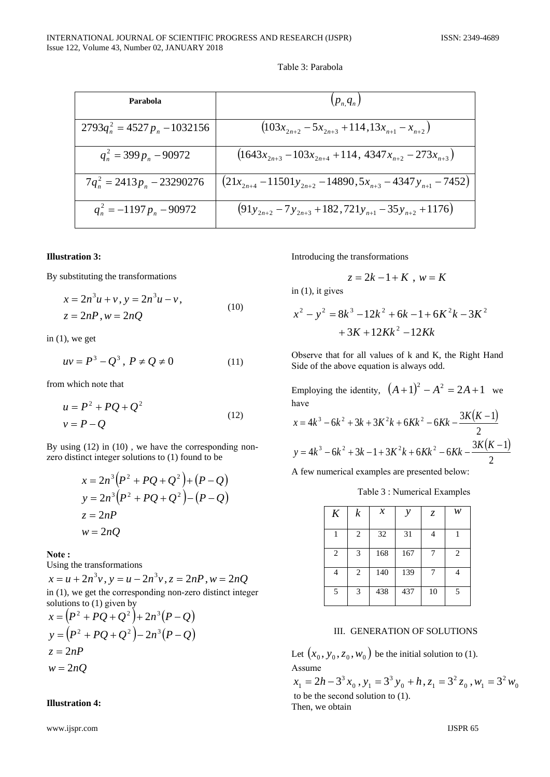| Parabola                         | $(p_n, q_n)$                                                    |
|----------------------------------|-----------------------------------------------------------------|
| $2793q_n^2 = 4527 p_n - 1032156$ | $(103x_{2n+2} - 5x_{2n+3} + 114, 13x_{n+1} - x_{n+2})$          |
| $q_n^2 = 399 p_n - 90972$        | $(1643x_{2n+3} - 103x_{2n+4} + 114, 4347x_{n+2} - 273x_{n+3})$  |
| $7q_n^2 = 2413p_n - 23290276$    | $(21x_{2n+4}-11501y_{2n+2}-14890,5x_{n+3}-4347y_{n+1}-7452)$    |
| $q_n^2 = -1197 p_n - 90972$      | $(91y_{2n+2} - 7y_{2n+3} + 182, 721y_{n+1} - 35y_{n+2} + 1176)$ |

Table 3: Parabola

## **Illustration 3:**

By substituting the transformations

$$
x = 2n3u + v, y = 2n3u - v,
$$
  
\n
$$
z = 2nP, w = 2nQ
$$
 (10)

in  $(1)$ , we get

$$
uv = P^3 - Q^3, \ P \neq Q \neq 0 \tag{11}
$$

from which note that

$$
u = P2 + PQ + Q2
$$
  

$$
v = P - Q
$$
 (12)

By using  $(12)$  in  $(10)$ , we have the corresponding nonzero distinct integer solutions to (1) found to be

$$
x = 2n3(P2 + PQ + Q2) + (P - Q)
$$
  
\n
$$
y = 2n3(P2 + PQ + Q2) - (P - Q)
$$
  
\n
$$
z = 2nP
$$
  
\n
$$
w = 2nQ
$$

Note:

Using the transformations

 $x = u + 2n<sup>3</sup>v$ ,  $y = u - 2n<sup>3</sup>v$ ,  $z = 2nP$ ,  $w = 2nQ$ in  $(1)$ , we get the corresponding non-zero distinct integer solutions to  $(1)$  given by

$$
x = (P2 + PQ + Q2) + 2n3(P - Q)
$$
  
\n
$$
y = (P2 + PQ + Q2) - 2n3(P - Q)
$$
  
\n
$$
z = 2nP
$$
  
\n
$$
w = 2nQ
$$

# **Illustration 4:**

www.ijspr.com

Introducing the transformations

$$
z = 2k - 1 + K , w = K
$$

in  $(1)$ , it gives

$$
x^{2}-y^{2}=8k^{3}-12k^{2}+6k-1+6K^{2}k-3K^{2}
$$

$$
+3K+12Kk^{2}-12Kk
$$

Observe that for all values of k and K, the Right Hand Side of the above equation is always odd.

Employing the identity,  $(A+1)^2 - A^2 = 2A+1$  we have  $\mathcal{L}$ 

$$
x = 4k^3 - 6k^2 + 3k + 3K^2k + 6Kk^2 - 6Kk - \frac{3K(K-1)}{2}
$$
  

$$
y = 4k^3 - 6k^2 + 3k - 1 + 3K^2k + 6Kk^2 - 6Kk - \frac{3K(K-1)}{2}
$$

A few numerical examples are presented below:

Table 3 : Numerical Examples

| $\boldsymbol{K}$ | $\boldsymbol{k}$ | $\mathcal{X}$ | ν   | Z, | w              |
|------------------|------------------|---------------|-----|----|----------------|
| 1                | 2                | 32            | 31  | 4  |                |
| $\overline{2}$   | 3                | 168           | 167 |    | $\overline{c}$ |
| 4                | 2                | 140           | 139 | 7  |                |
| 5                | 3                | 438           | 437 | 10 | 5              |

#### III. GENERATION OF SOLUTIONS

Let  $(x_0, y_0, z_0, w_0)$  be the initial solution to (1). Assume

 $x_1 = 2h - 3^3 x_0$ ,  $y_1 = 3^3 y_0 + h$ ,  $z_1 = 3^2 z_0$ ,  $w_1 = 3^2 w_0$ to be the second solution to  $(1)$ . Then, we obtain